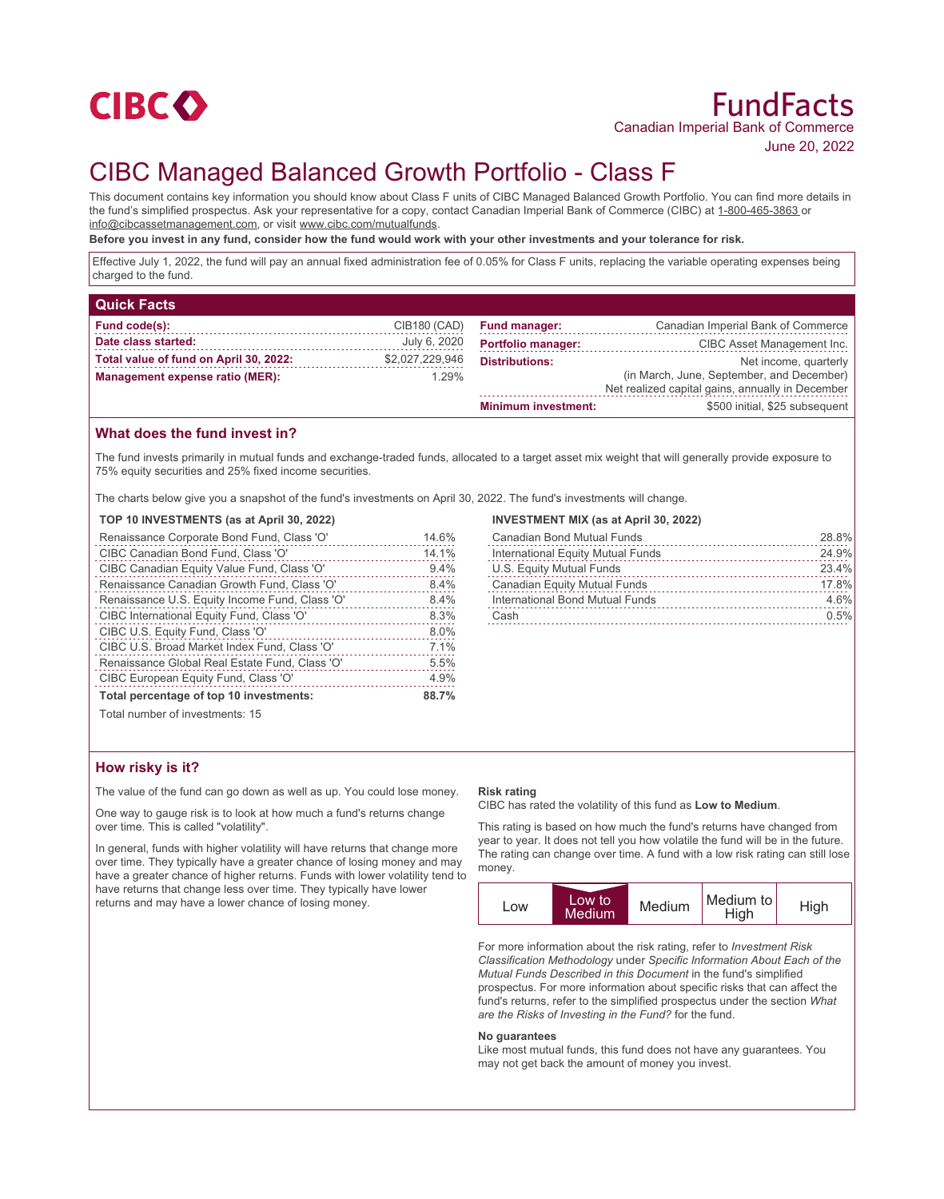

June 20, 2022

# CIBC Managed Balanced Growth Portfolio - Class F

This document contains key information you should know about Class F units of CIBC Managed Balanced Growth Portfolio. You can find more details in the fund's simplified prospectus. Ask your representative for a copy, contact Canadian Imperial Bank of Commerce (CIBC) at 1-800-465-3863 or info@cibcassetmanagement.com, or visit www.cibc.com/mutualfunds.

**Before you invest in any fund, consider how the fund would work with your other investments and your tolerance for risk.**

Effective July 1, 2022, the fund will pay an annual fixed administration fee of 0.05% for Class F units, replacing the variable operating expenses being charged to the fund.

| <b>Quick Facts</b>                     |                 |                            |                                                  |
|----------------------------------------|-----------------|----------------------------|--------------------------------------------------|
| Fund code(s):                          | CIB180 (CAD)    | <b>Fund manager:</b>       | Canadian Imperial Bank of Commerce               |
| Date class started:                    | July 6, 2020    | <b>Portfolio manager:</b>  | CIBC Asset Management Inc.                       |
| Total value of fund on April 30, 2022: | \$2,027,229,946 | <b>Distributions:</b>      | Net income, quarterly                            |
| Management expense ratio (MER):        | 1.29%           |                            | (in March, June, September, and December)        |
|                                        |                 |                            | Net realized capital gains, annually in December |
|                                        |                 | <b>Minimum investment:</b> | \$500 initial, \$25 subsequent                   |

## **What does the fund invest in?**

The fund invests primarily in mutual funds and exchange-traded funds, allocated to a target asset mix weight that will generally provide exposure to 75% equity securities and 25% fixed income securities.

The charts below give you a snapshot of the fund's investments on April 30, 2022. The fund's investments will change.

#### **TOP 10 INVESTMENTS (as at April 30, 2022)**

| Renaissance Corporate Bond Fund, Class 'O'     | 14.6% |  |
|------------------------------------------------|-------|--|
| CIBC Canadian Bond Fund, Class 'O'             | 14.1% |  |
| CIBC Canadian Equity Value Fund, Class 'O'     | 9.4%  |  |
| Renaissance Canadian Growth Fund, Class 'O'    | 8.4%  |  |
| Renaissance U.S. Equity Income Fund, Class 'O' | 8.4%  |  |
| CIBC International Equity Fund, Class 'O'      | 8.3%  |  |
| CIBC U.S. Equity Fund, Class 'O'               | 8.0%  |  |
| CIBC U.S. Broad Market Index Fund, Class 'O'   | 7.1%  |  |
| Renaissance Global Real Estate Fund, Class 'O' | 5.5%  |  |
| CIBC European Equity Fund, Class 'O'           | 4.9%  |  |
| Total percentage of top 10 investments:        |       |  |
| Total number of investments: 15                |       |  |

#### **INVESTMENT MIX (as at April 30, 2022)**

| <b>Canadian Bond Mutual Funds</b>   | 28.8% |
|-------------------------------------|-------|
| International Equity Mutual Funds   | 24.9% |
| U.S. Equity Mutual Funds            | 23.4% |
| <b>Canadian Equity Mutual Funds</b> | 17.8% |
| International Bond Mutual Funds     | 4.6%  |
| Cash                                | 0.5%  |
|                                     |       |

Total number of investments: 15

### **How risky is it?**

The value of the fund can go down as well as up. You could lose money.

One way to gauge risk is to look at how much a fund's returns change over time. This is called "volatility".

In general, funds with higher volatility will have returns that change more over time. They typically have a greater chance of losing money and may have a greater chance of higher returns. Funds with lower volatility tend to have returns that change less over time. They typically have lower returns and may have a lower chance of losing money.

#### **Risk rating**

CIBC has rated the volatility of this fund as **Low to Medium**.

This rating is based on how much the fund's returns have changed from year to year. It does not tell you how volatile the fund will be in the future. The rating can change over time. A fund with a low risk rating can still lose money.



For more information about the risk rating, refer to *Investment Risk Classification Methodology* under *Specific Information About Each of the Mutual Funds Described in this Document* in the fund's simplified prospectus. For more information about specific risks that can affect the fund's returns, refer to the simplified prospectus under the section *What are the Risks of Investing in the Fund?* for the fund.

#### **No guarantees**

Like most mutual funds, this fund does not have any guarantees. You may not get back the amount of money you invest.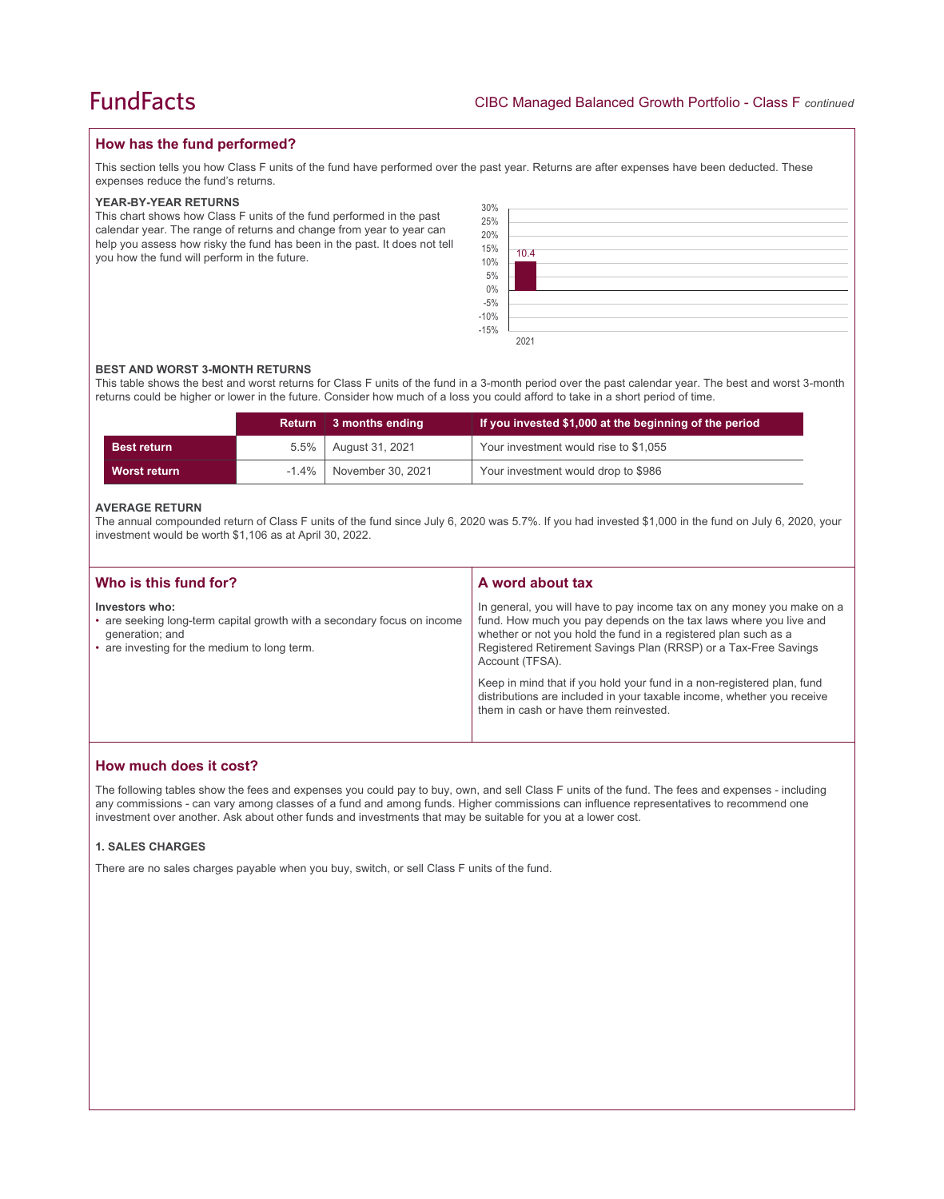## **How has the fund performed?**

This section tells you how Class F units of the fund have performed over the past year. Returns are after expenses have been deducted. These expenses reduce the fund's returns.

#### **YEAR-BY-YEAR RETURNS**

This chart shows how Class F units of the fund performed in the past calendar year. The range of returns and change from year to year can help you assess how risky the fund has been in the past. It does not tell you how the fund will perform in the future.

| $\begin{array}{l} 30\% \\ 25\% \\ 20\% \end{array}$<br>15%<br>10%<br>5%<br>$0\%$<br>-5%<br>-10%<br>-15% | 10.4 |  |  |  |  |
|---------------------------------------------------------------------------------------------------------|------|--|--|--|--|
|                                                                                                         | 2021 |  |  |  |  |

#### **BEST AND WORST 3-MONTH RETURNS**

This table shows the best and worst returns for Class F units of the fund in a 3-month period over the past calendar year. The best and worst 3-month returns could be higher or lower in the future. Consider how much of a loss you could afford to take in a short period of time.

|                    | <b>Return</b> | 3 months ending   | If you invested \$1,000 at the beginning of the period |
|--------------------|---------------|-------------------|--------------------------------------------------------|
| <b>Best return</b> | $5.5\%$       | August 31, 2021   | Your investment would rise to \$1,055                  |
| Worst return       | $-1.4\%$      | November 30, 2021 | Your investment would drop to \$986                    |

#### **AVERAGE RETURN**

The annual compounded return of Class F units of the fund since July 6, 2020 was 5.7%. If you had invested \$1,000 in the fund on July 6, 2020, your investment would be worth \$1,106 as at April 30, 2022.

| Who is this fund for?                                                                                                                                        | A word about tax                                                                                                                                                                                                                                                                                     |
|--------------------------------------------------------------------------------------------------------------------------------------------------------------|------------------------------------------------------------------------------------------------------------------------------------------------------------------------------------------------------------------------------------------------------------------------------------------------------|
| Investors who:<br>• are seeking long-term capital growth with a secondary focus on income<br>generation; and<br>• are investing for the medium to long term. | In general, you will have to pay income tax on any money you make on a<br>fund. How much you pay depends on the tax laws where you live and<br>whether or not you hold the fund in a registered plan such as a<br>Registered Retirement Savings Plan (RRSP) or a Tax-Free Savings<br>Account (TFSA). |
|                                                                                                                                                              | Keep in mind that if you hold your fund in a non-registered plan, fund<br>distributions are included in your taxable income, whether you receive<br>them in cash or have them reinvested.                                                                                                            |

## **How much does it cost?**

The following tables show the fees and expenses you could pay to buy, own, and sell Class F units of the fund. The fees and expenses - including any commissions - can vary among classes of a fund and among funds. Higher commissions can influence representatives to recommend one investment over another. Ask about other funds and investments that may be suitable for you at a lower cost.

#### **1. SALES CHARGES**

There are no sales charges payable when you buy, switch, or sell Class F units of the fund.